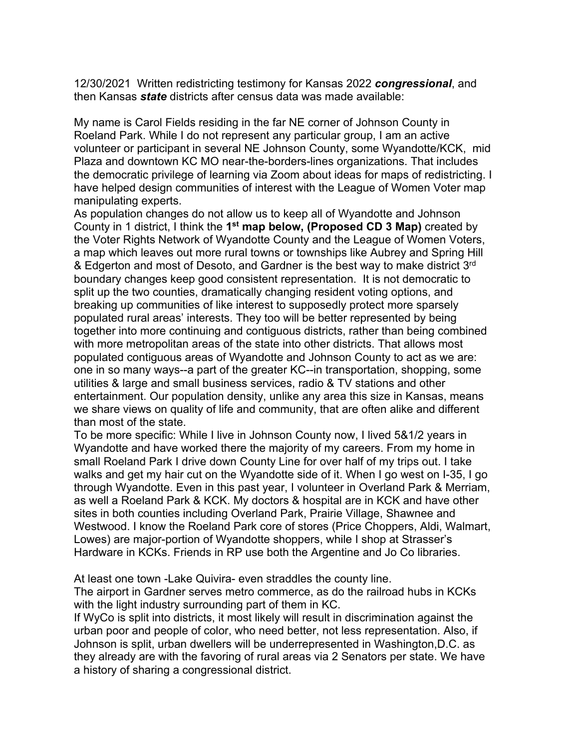12/30/2021 Written redistricting testimony for Kansas 2022 *congressional*, and then Kansas *state* districts after census data was made available:

My name is Carol Fields residing in the far NE corner of Johnson County in Roeland Park. While I do not represent any particular group, I am an active volunteer or participant in several NE Johnson County, some Wyandotte/KCK, mid Plaza and downtown KC MO near-the-borders-lines organizations. That includes the democratic privilege of learning via Zoom about ideas for maps of redistricting. I have helped design communities of interest with the League of Women Voter map manipulating experts.

As population changes do not allow us to keep all of Wyandotte and Johnson County in 1 district, I think the **1st map below, (Proposed CD 3 Map)** created by the Voter Rights Network of Wyandotte County and the League of Women Voters, a map which leaves out more rural towns or townships like Aubrey and Spring Hill & Edgerton and most of Desoto, and Gardner is the best way to make district 3rd boundary changes keep good consistent representation. It is not democratic to split up the two counties, dramatically changing resident voting options, and breaking up communities of like interest to supposedly protect more sparsely populated rural areas' interests. They too will be better represented by being together into more continuing and contiguous districts, rather than being combined with more metropolitan areas of the state into other districts. That allows most populated contiguous areas of Wyandotte and Johnson County to act as we are: one in so many ways--a part of the greater KC--in transportation, shopping, some utilities & large and small business services, radio & TV stations and other entertainment. Our population density, unlike any area this size in Kansas, means we share views on quality of life and community, that are often alike and different than most of the state.

To be more specific: While I live in Johnson County now, I lived 5&1/2 years in Wyandotte and have worked there the majority of my careers. From my home in small Roeland Park I drive down County Line for over half of my trips out. I take walks and get my hair cut on the Wyandotte side of it. When I go west on I-35, I go through Wyandotte. Even in this past year, I volunteer in Overland Park & Merriam, as well a Roeland Park & KCK. My doctors & hospital are in KCK and have other sites in both counties including Overland Park, Prairie Village, Shawnee and Westwood. I know the Roeland Park core of stores (Price Choppers, Aldi, Walmart, Lowes) are major-portion of Wyandotte shoppers, while I shop at Strasser's Hardware in KCKs. Friends in RP use both the Argentine and Jo Co libraries.

At least one town -Lake Quivira- even straddles the county line.

The airport in Gardner serves metro commerce, as do the railroad hubs in KCKs with the light industry surrounding part of them in KC.

If WyCo is split into districts, it most likely will result in discrimination against the urban poor and people of color, who need better, not less representation. Also, if Johnson is split, urban dwellers will be underrepresented in Washington,D.C. as they already are with the favoring of rural areas via 2 Senators per state. We have a history of sharing a congressional district.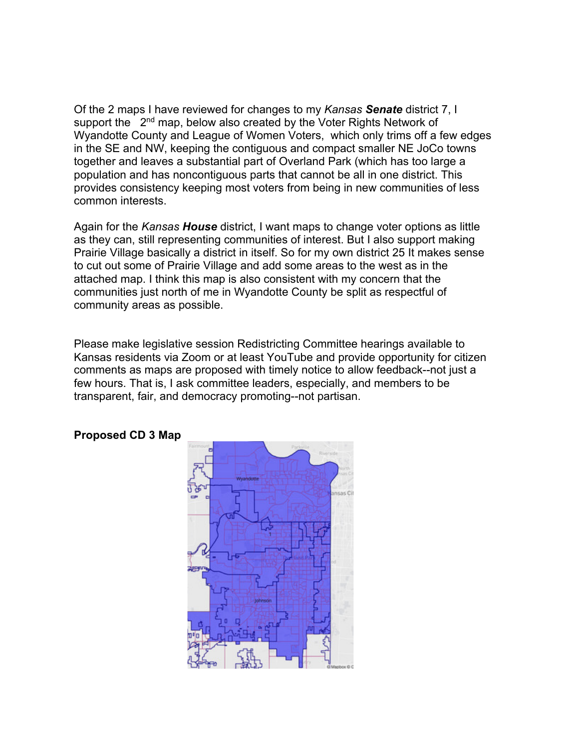Of the 2 maps I have reviewed for changes to my *Kansas Senate* district 7, I support the 2<sup>nd</sup> map, below also created by the Voter Rights Network of Wyandotte County and League of Women Voters, which only trims off a few edges in the SE and NW, keeping the contiguous and compact smaller NE JoCo towns together and leaves a substantial part of Overland Park (which has too large a population and has noncontiguous parts that cannot be all in one district. This provides consistency keeping most voters from being in new communities of less common interests.

Again for the *Kansas House* district, I want maps to change voter options as little as they can, still representing communities of interest. But I also support making Prairie Village basically a district in itself. So for my own district 25 It makes sense to cut out some of Prairie Village and add some areas to the west as in the attached map. I think this map is also consistent with my concern that the communities just north of me in Wyandotte County be split as respectful of community areas as possible.

Please make legislative session Redistricting Committee hearings available to Kansas residents via Zoom or at least YouTube and provide opportunity for citizen comments as maps are proposed with timely notice to allow feedback--not just a few hours. That is, I ask committee leaders, especially, and members to be transparent, fair, and democracy promoting--not partisan.



## **Proposed CD 3 Map**